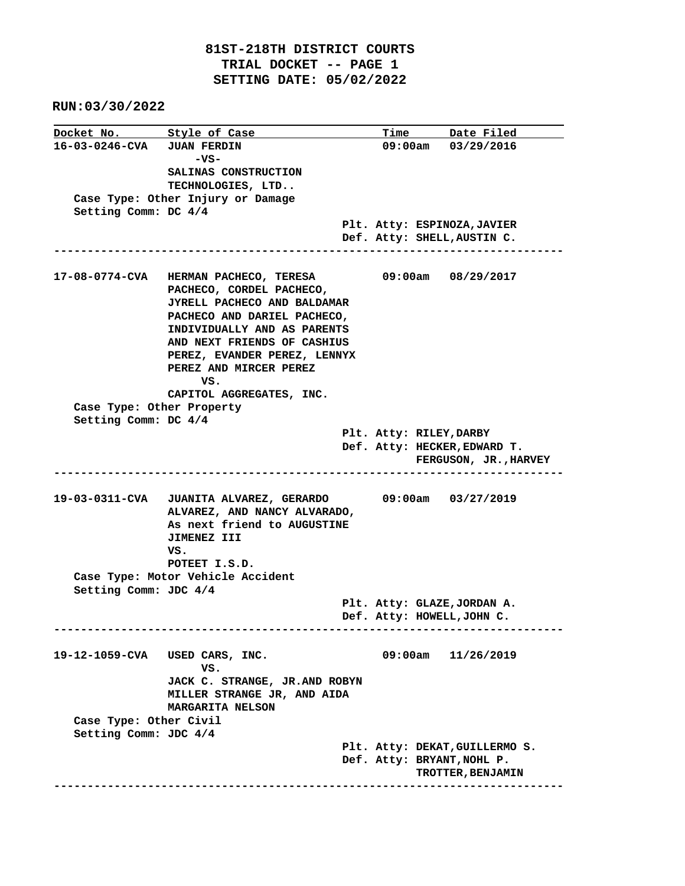**RUN:03/30/2022**

| Docket No. Style of Case       |                                         |  |  | Time Date Filed                                       |  |  |  |
|--------------------------------|-----------------------------------------|--|--|-------------------------------------------------------|--|--|--|
| 16-03-0246-CVA JUAN FERDIN     |                                         |  |  | 09:00am 03/29/2016                                    |  |  |  |
|                                | -vs-                                    |  |  |                                                       |  |  |  |
|                                | SALINAS CONSTRUCTION                    |  |  |                                                       |  |  |  |
|                                | TECHNOLOGIES, LTD                       |  |  |                                                       |  |  |  |
|                                | Case Type: Other Injury or Damage       |  |  |                                                       |  |  |  |
| Setting Comm: DC 4/4           |                                         |  |  |                                                       |  |  |  |
|                                |                                         |  |  | Plt. Atty: ESPINOZA, JAVIER                           |  |  |  |
|                                |                                         |  |  | Def. Atty: SHELL, AUSTIN C.                           |  |  |  |
|                                |                                         |  |  |                                                       |  |  |  |
|                                | 17-08-0774-CVA HERMAN PACHECO, TERESA   |  |  | 09:00am 08/29/2017                                    |  |  |  |
|                                | PACHECO, CORDEL PACHECO,                |  |  |                                                       |  |  |  |
|                                | JYRELL PACHECO AND BALDAMAR             |  |  |                                                       |  |  |  |
|                                | PACHECO AND DARIEL PACHECO,             |  |  |                                                       |  |  |  |
|                                | INDIVIDUALLY AND AS PARENTS             |  |  |                                                       |  |  |  |
|                                | AND NEXT FRIENDS OF CASHIUS             |  |  |                                                       |  |  |  |
|                                | PEREZ, EVANDER PEREZ, LENNYX            |  |  |                                                       |  |  |  |
|                                | PEREZ AND MIRCER PEREZ                  |  |  |                                                       |  |  |  |
|                                | VS.                                     |  |  |                                                       |  |  |  |
|                                | CAPITOL AGGREGATES, INC.                |  |  |                                                       |  |  |  |
| Case Type: Other Property      |                                         |  |  |                                                       |  |  |  |
| Setting Comm: DC 4/4           |                                         |  |  |                                                       |  |  |  |
|                                |                                         |  |  | Plt. Atty: RILEY, DARBY                               |  |  |  |
|                                |                                         |  |  | Def. Atty: HECKER, EDWARD T.<br>FERGUSON, JR., HARVEY |  |  |  |
|                                |                                         |  |  |                                                       |  |  |  |
|                                |                                         |  |  |                                                       |  |  |  |
|                                | 19-03-0311-CVA JUANITA ALVAREZ, GERARDO |  |  | 09:00am 03/27/2019                                    |  |  |  |
|                                | ALVAREZ, AND NANCY ALVARADO,            |  |  |                                                       |  |  |  |
|                                | As next friend to AUGUSTINE             |  |  |                                                       |  |  |  |
|                                | JIMENEZ III                             |  |  |                                                       |  |  |  |
|                                | VS.                                     |  |  |                                                       |  |  |  |
|                                | POTEET I.S.D.                           |  |  |                                                       |  |  |  |
|                                | Case Type: Motor Vehicle Accident       |  |  |                                                       |  |  |  |
| Setting Comm: JDC 4/4          |                                         |  |  |                                                       |  |  |  |
|                                |                                         |  |  | Plt. Atty: GLAZE, JORDAN A.                           |  |  |  |
|                                |                                         |  |  | Def. Atty: HOWELL, JOHN C.                            |  |  |  |
|                                |                                         |  |  |                                                       |  |  |  |
| 19-12-1059-CVA USED CARS, INC. |                                         |  |  | 09:00am<br>11/26/2019                                 |  |  |  |
|                                | vs.                                     |  |  |                                                       |  |  |  |
|                                | JACK C. STRANGE, JR.AND ROBYN           |  |  |                                                       |  |  |  |
|                                | MILLER STRANGE JR, AND AIDA             |  |  |                                                       |  |  |  |
|                                | MARGARITA NELSON                        |  |  |                                                       |  |  |  |
| Case Type: Other Civil         |                                         |  |  |                                                       |  |  |  |
| Setting Comm: JDC 4/4          |                                         |  |  |                                                       |  |  |  |
|                                |                                         |  |  |                                                       |  |  |  |
|                                |                                         |  |  | Plt. Atty: DEKAT, GUILLERMO S.                        |  |  |  |
|                                |                                         |  |  | Def. Atty: BRYANT, NOHL P.                            |  |  |  |
|                                |                                         |  |  | TROTTER, BENJAMIN                                     |  |  |  |